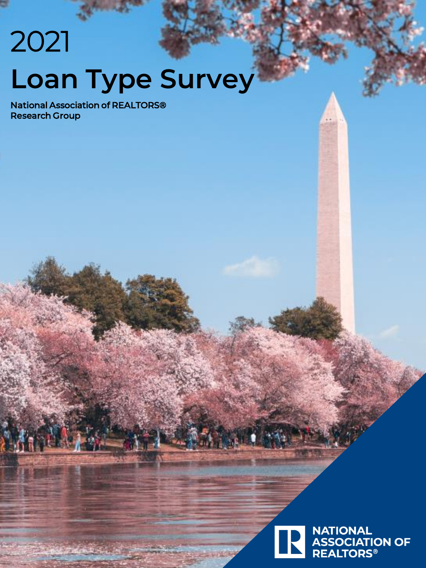# 2021 **Loan Type Survey**

National Association of REALTORS® Research Group

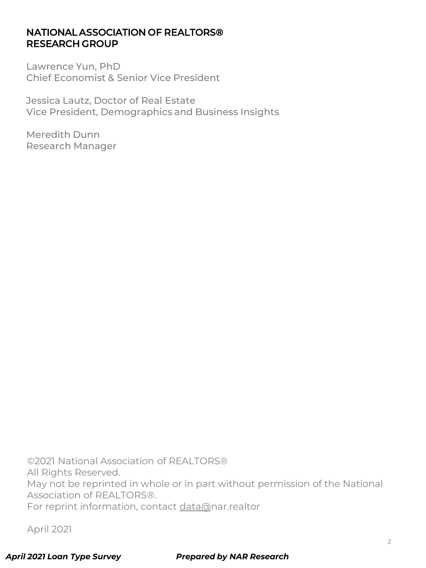#### NATIONAL ASSOCIATION OF REALTORS® RESEARCH GROUP

Lawrence Yun, PhD Chief Economist & Senior Vice President

Jessica Lautz, Doctor of Real Estate Vice President, Demographics and Business Insights

Meredith Dunn Research Manager

©2021 National Association of REALTORS® All Rights Reserved. May not be reprinted in whole or in part without permission of the National Association of REALTORS®. For reprint information, contact [data@n](mailto:data@realtors.org)ar.realtor

April 2021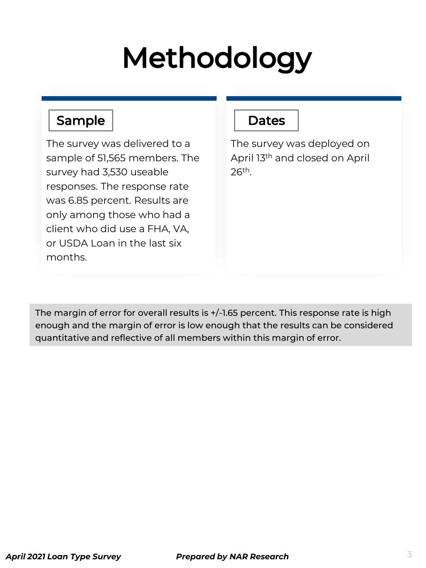# Methodology

#### Sample

The survey was delivered to a sample of 51,565 members. The survey had 3,530 useable responses. The response rate was 6.85 percent. Results are only among those who had a client who did use a FHA, VA, or USDA Loan in the last six months.

#### **Dates**

The survey was deployed on April 13th and closed on April 26th.

The margin of error for overall results is +/-1.65 percent. This response rate is high enough and the margin of error is low enough that the results can be considered quantitative and reflective of all members within this margin of error.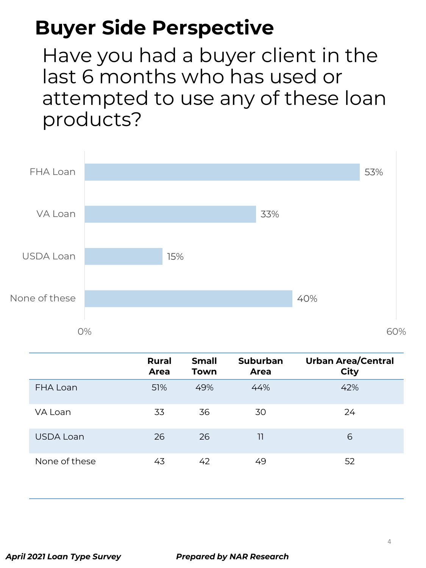Have you had a buyer client in the last 6 months who has used or attempted to use any of these loan products?



|               | <b>Rural</b><br>Area | <b>Small</b><br><b>Town</b> | <b>Suburban</b><br>Area | <b>Urban Area/Central</b><br><b>City</b> |
|---------------|----------------------|-----------------------------|-------------------------|------------------------------------------|
| FHA Loan      | 51%                  | 49%                         | 44%                     | 42%                                      |
| VA Loan       | 33                   | 36                          | 30                      | 24                                       |
| USDA Loan     | 26                   | 26                          | 11                      | 6                                        |
| None of these | 43                   | 42                          | 49                      | 52                                       |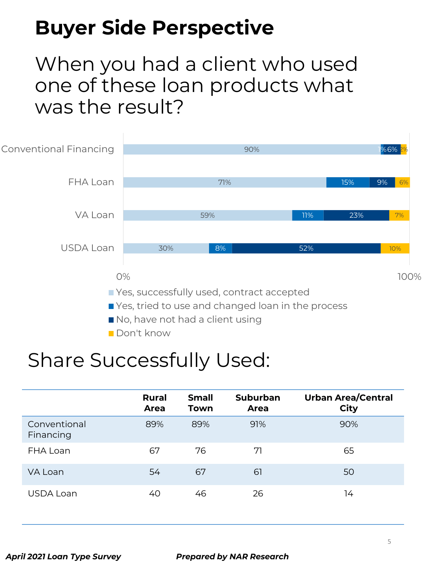#### When you had a client who used one of these loan products what was the result?



#### Share Successfully Used:

|                           | <b>Rural</b><br>Area | <b>Small</b><br>Town | <b>Suburban</b><br>Area | <b>Urban Area/Central</b><br><b>City</b> |
|---------------------------|----------------------|----------------------|-------------------------|------------------------------------------|
| Conventional<br>Financing | 89%                  | 89%                  | 91%                     | 90%                                      |
| FHA Loan                  | 67                   | 76                   | 71                      | 65                                       |
| VA Loan                   | 54                   | 67                   | 61                      | 50                                       |
| USDA Loan                 | 40                   | 46                   | 26                      | 14                                       |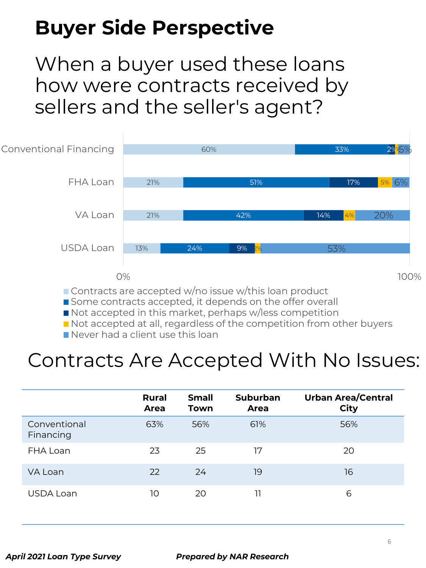When a buyer used these loans how were contracts received by sellers and the seller's agent?



Contracts are accepted w/no issue w/this loan product

Some contracts accepted, it depends on the offer overall

Not accepted in this market, perhaps w/less competition

Not accepted at all, regardless of the competition from other buyers

Never had a client use this loan

#### Contracts Are Accepted With No Issues:

|                           | <b>Rural</b><br>Area | <b>Small</b><br>Town | <b>Suburban</b><br>Area | <b>Urban Area/Central</b><br><b>City</b> |
|---------------------------|----------------------|----------------------|-------------------------|------------------------------------------|
| Conventional<br>Financing | 63%                  | 56%                  | 61%                     | 56%                                      |
| FHA Loan                  | 23                   | 25                   | 17                      | 20                                       |
| VA Loan                   | 22                   | 24                   | 19                      | 16                                       |
| USDA Loan                 | 10                   | 20                   | וו                      | 6                                        |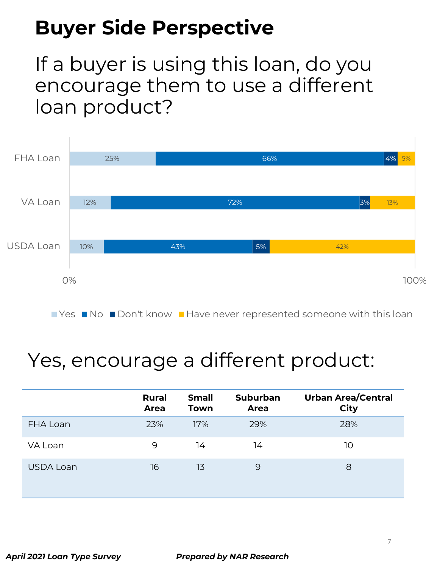If a buyer is using this loan, do you encourage them to use a different loan product?



## Yes, encourage a different product:

|           | <b>Rural</b><br>Area | <b>Small</b><br><b>Town</b> | <b>Suburban</b><br>Area | <b>Urban Area/Central</b><br><b>City</b> |
|-----------|----------------------|-----------------------------|-------------------------|------------------------------------------|
| FHA Loan  | 23%                  | 17%                         | 29%                     | 28%                                      |
| VA Loan   | 9                    | 14                          | 14                      | 10                                       |
| USDA Loan | 16                   | 13                          | 9                       | 8                                        |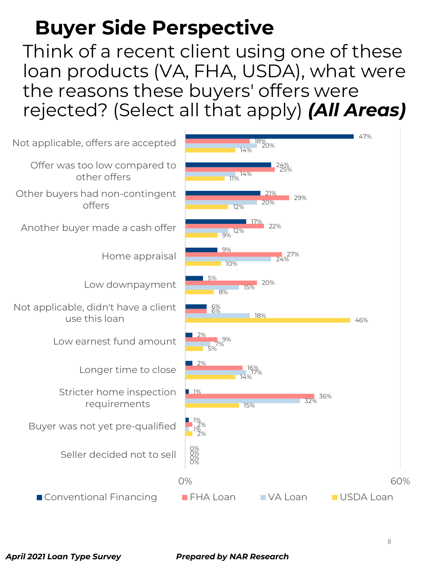Think of a recent client using one of these loan products (VA, FHA, USDA), what were the reasons these buyers' offers were rejected? (Select all that apply) *(All Areas)*

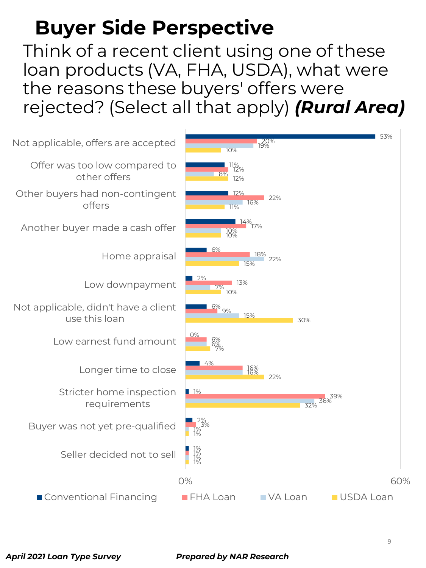Think of a recent client using one of these loan products (VA, FHA, USDA), what were the reasons these buyers' offers were rejected? (Select all that apply) *(Rural Area)*

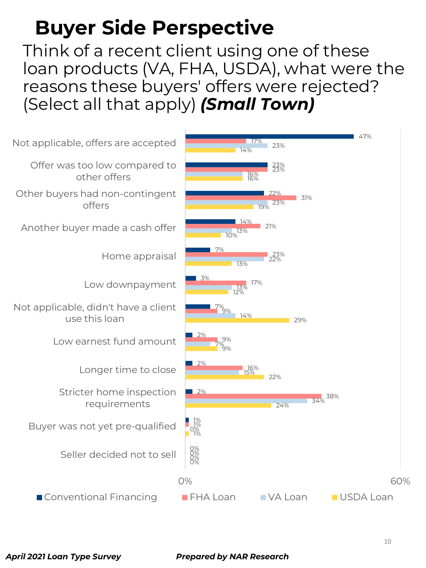Think of a recent client using one of these loan products (VA, FHA, USDA), what were the reasons these buyers' offers were rejected? (Select all that apply) *(Small Town)*

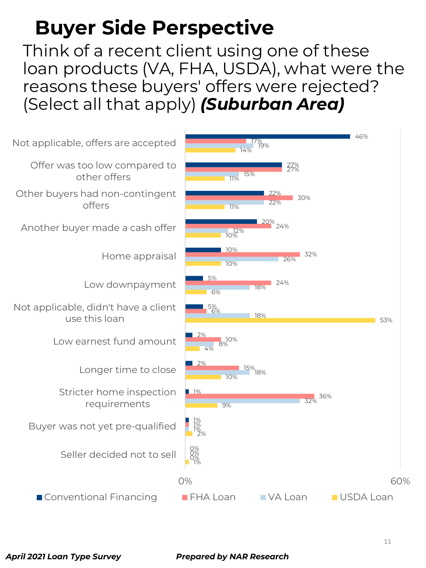Think of a recent client using one of these loan products (VA, FHA, USDA), what were the reasons these buyers' offers were rejected? (Select all that apply) *(Suburban Area)*

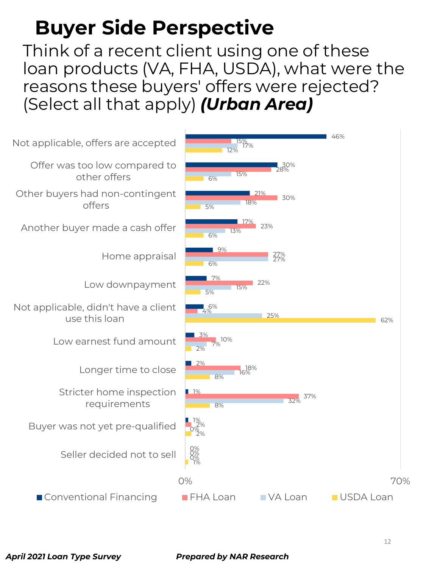Think of a recent client using one of these loan products (VA, FHA, USDA), what were the reasons these buyers' offers were rejected? (Select all that apply) *(Urban Area)*

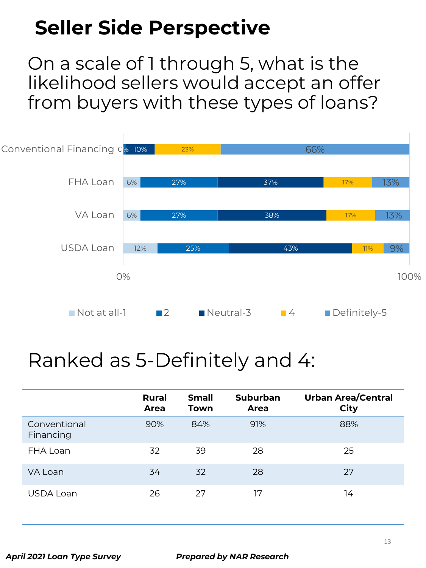On a scale of 1 through 5, what is the likelihood sellers would accept an offer from buyers with these types of loans?



#### Ranked as 5-Definitely and 4:

|                           | <b>Rural</b><br>Area | <b>Small</b><br>Town | <b>Suburban</b><br>Area | <b>Urban Area/Central</b><br><b>City</b> |
|---------------------------|----------------------|----------------------|-------------------------|------------------------------------------|
| Conventional<br>Financing | 90%                  | 84%                  | 91%                     | 88%                                      |
| FHA Loan                  | 32                   | 39                   | 28                      | 25                                       |
| VA Loan                   | 34                   | 32                   | 28                      | 27                                       |
| USDA Loan                 | 26                   | 27                   | 17                      | 14                                       |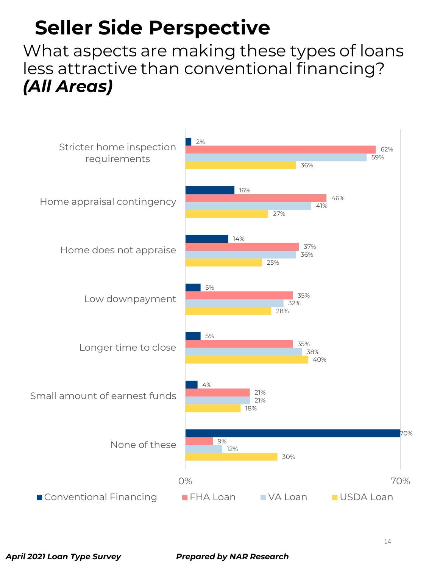What aspects are making these types of loans less attractive than conventional financing? *(All Areas)*

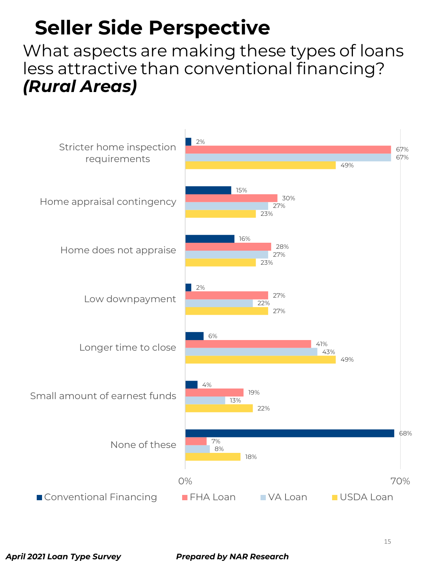What aspects are making these types of loans less attractive than conventional financing? *(Rural Areas)*

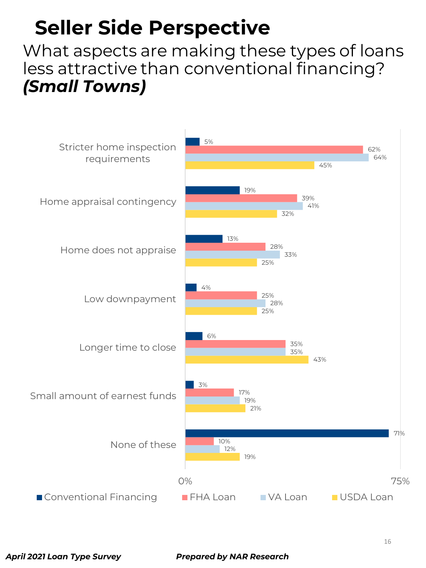What aspects are making these types of loans less attractive than conventional financing? *(Small Towns)*

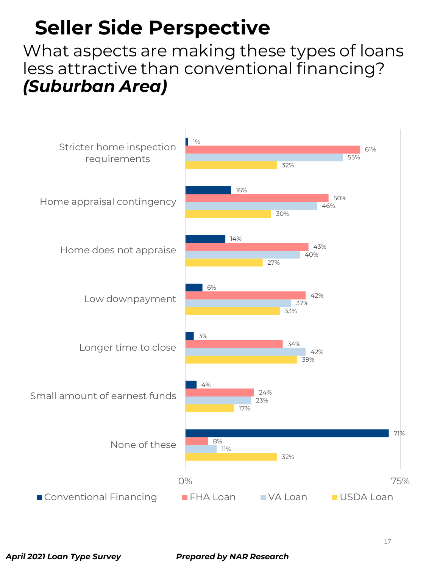What aspects are making these types of loans less attractive than conventional financing? *(Suburban Area)*

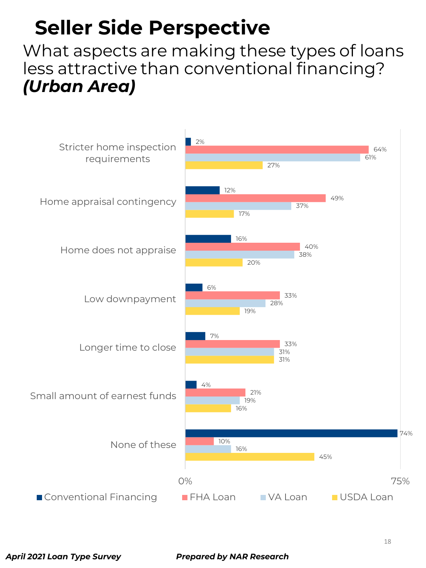What aspects are making these types of loans less attractive than conventional financing? *(Urban Area)*

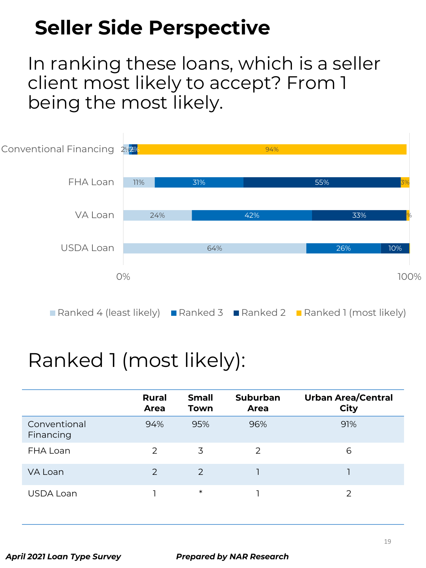In ranking these loans, which is a seller client most likely to accept? From 1 being the most likely.



## Ranked 1 (most likely):

|                           | <b>Rural</b><br><b>Area</b> | <b>Small</b><br>Town | <b>Suburban</b><br>Area | <b>Urban Area/Central</b><br><b>City</b> |
|---------------------------|-----------------------------|----------------------|-------------------------|------------------------------------------|
| Conventional<br>Financing | 94%                         | 95%                  | 96%                     | 91%                                      |
| FHA Loan                  | 2                           | 3                    | 2                       | 6                                        |
| VA Loan                   | 2                           | $\mathcal{P}$        |                         |                                          |
| USDA Loan                 |                             | $\ast$               |                         |                                          |